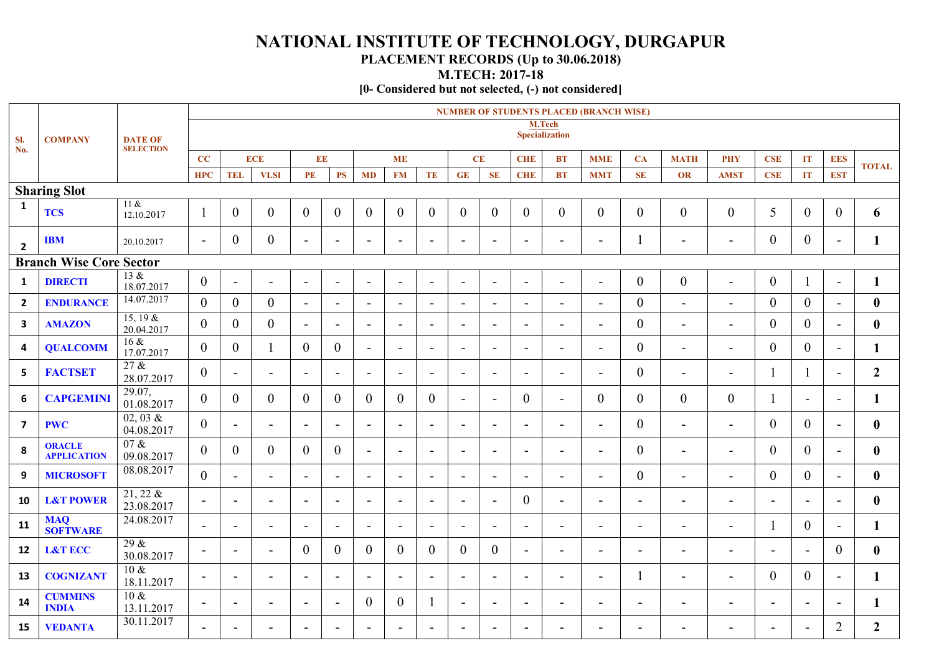## **NATIONAL INSTITUTE OF TECHNOLOGY, DURGAPUR**

## **PLACEMENT RECORDS (Up to 30.06.2018)**

**M.TECH: 2017-18**

**[0- Considered but not selected, (-) not considered]**

| SI.<br>No.              | <b>COMPANY</b>                      | <b>DATE OF</b><br><b>SELECTION</b> | <b>NUMBER OF STUDENTS PLACED (BRANCH WISE)</b> |                          |                          |                          |                          |                          |                          |                          |                          |                          |                          |                          |                          |                          |                          |                          |                          |                          |                          |                  |
|-------------------------|-------------------------------------|------------------------------------|------------------------------------------------|--------------------------|--------------------------|--------------------------|--------------------------|--------------------------|--------------------------|--------------------------|--------------------------|--------------------------|--------------------------|--------------------------|--------------------------|--------------------------|--------------------------|--------------------------|--------------------------|--------------------------|--------------------------|------------------|
|                         |                                     |                                    |                                                |                          |                          |                          |                          |                          |                          |                          |                          |                          | <b>Specialization</b>    | M.Tech                   |                          |                          |                          |                          |                          |                          |                          |                  |
|                         |                                     |                                    | CC                                             |                          | <b>ECE</b>               | EE                       |                          |                          | <b>ME</b>                |                          |                          | CE                       | <b>CHE</b>               | <b>BT</b>                | <b>MME</b>               | CA                       | <b>MATH</b>              | PHY                      | <b>CSE</b>               | IT                       | <b>EES</b>               | <b>TOTAL</b>     |
|                         |                                     |                                    | <b>HPC</b>                                     | <b>TEL</b>               | <b>VLSI</b>              | PE                       | PS                       | <b>MD</b>                | <b>FM</b>                | TE                       | GE                       | <b>SE</b>                | <b>CHE</b>               | BT                       | <b>MMT</b>               | <b>SE</b>                | OR                       | <b>AMST</b>              | <b>CSE</b>               | IT                       | <b>EST</b>               |                  |
|                         | <b>Sharing Slot</b>                 |                                    |                                                |                          |                          |                          |                          |                          |                          |                          |                          |                          |                          |                          |                          |                          |                          |                          |                          |                          |                          |                  |
| $\mathbf{1}$            | <b>TCS</b>                          | $11 \&$<br>12.10.2017              |                                                | $\overline{0}$           | $\theta$                 | $\mathbf{0}$             | $\overline{0}$           | $\theta$                 | $\overline{0}$           | $\overline{0}$           | $\theta$                 | $\mathbf{0}$             | $\overline{0}$           | $\overline{0}$           | $\overline{0}$           | $\theta$                 | $\overline{0}$           | $\mathbf{0}$             | 5                        | $\mathbf{0}$             | $\overline{0}$           | 6                |
| $\overline{\mathbf{2}}$ | <b>IBM</b>                          | 20.10.2017                         | $\overline{\phantom{a}}$                       | $\overline{0}$           | $\overline{0}$           | $\blacksquare$           | $\blacksquare$           |                          | $\blacksquare$           | $\blacksquare$           | $\overline{\phantom{0}}$ | $\blacksquare$           | $\blacksquare$           | $\blacksquare$           |                          | -1                       | $\blacksquare$           | $\blacksquare$           | $\overline{0}$           | $\overline{0}$           | $\blacksquare$           | $\mathbf{1}$     |
|                         | <b>Branch Wise Core Sector</b>      |                                    |                                                |                          |                          |                          |                          |                          |                          |                          |                          |                          |                          |                          |                          |                          |                          |                          |                          |                          |                          |                  |
| $\mathbf{1}$            | <b>DIRECTI</b>                      | 13 &<br>18.07.2017                 | $\boldsymbol{0}$                               | $\overline{\phantom{a}}$ |                          | $\overline{\phantom{a}}$ | $\overline{\phantom{a}}$ |                          | $\overline{\phantom{a}}$ | $\sim$                   | $\overline{\phantom{a}}$ | $\sim$                   | $\overline{\phantom{a}}$ | $\blacksquare$           | $\blacksquare$           | $\boldsymbol{0}$         | $\boldsymbol{0}$         | $\overline{\phantom{a}}$ | $\overline{0}$           |                          | $\overline{a}$           | $\mathbf{1}$     |
| $\overline{2}$          | <b>ENDURANCE</b>                    | 14.07.2017                         | $\theta$                                       | $\theta$                 | $\theta$                 | $\blacksquare$           | $\blacksquare$           | $\overline{\phantom{a}}$ | $\overline{\phantom{a}}$ | $\sim$                   | $\blacksquare$           | $\sim$                   | $\blacksquare$           | $\blacksquare$           | $\blacksquare$           | $\overline{0}$           | $\blacksquare$           | $\overline{\phantom{a}}$ | $\overline{0}$           | $\theta$                 | $\overline{a}$           | $\bf{0}$         |
| $\mathbf{3}$            | <b>AMAZON</b>                       | 15, 19 &<br>20.04.2017             | $\overline{0}$                                 | $\overline{0}$           | $\overline{0}$           | $\blacksquare$           | $\overline{\phantom{a}}$ | $\overline{\phantom{a}}$ | $\blacksquare$           | $\overline{\phantom{a}}$ | $\blacksquare$           | $\sim$                   | $\blacksquare$           | $\blacksquare$           | $\overline{\phantom{a}}$ | $\boldsymbol{0}$         | $\blacksquare$           | $\overline{\phantom{a}}$ | $\overline{0}$           | $\overline{0}$           | $\blacksquare$           | $\bf{0}$         |
| 4                       | <b>QUALCOMM</b>                     | 16 &<br>17.07.2017                 | $\overline{0}$                                 | $\theta$                 |                          | $\mathbf{0}$             | $\boldsymbol{0}$         | $\overline{\phantom{0}}$ | $\blacksquare$           | $\overline{\phantom{a}}$ | $\overline{\phantom{a}}$ | $\overline{\phantom{a}}$ | $\overline{\phantom{a}}$ | $\blacksquare$           |                          | $\boldsymbol{0}$         | $\blacksquare$           | $\blacksquare$           | $\overline{0}$           | $\theta$                 | $\blacksquare$           | 1                |
| 5                       | <b>FACTSET</b>                      | 27 &<br>28.07.2017                 | $\overline{0}$                                 | $\blacksquare$           | $\blacksquare$           | $\overline{\phantom{a}}$ | $\sim$                   | $\blacksquare$           | $\blacksquare$           | $\overline{\phantom{a}}$ | $\blacksquare$           | $\overline{\phantom{a}}$ | $\sim$                   | $\blacksquare$           | $\blacksquare$           | $\theta$                 | $\overline{\phantom{a}}$ | $\blacksquare$           | 1                        |                          | $\blacksquare$           | $\boldsymbol{2}$ |
| 6                       | <b>CAPGEMINI</b>                    | 29.07,<br>01.08.2017               | $\theta$                                       | $\theta$                 | $\theta$                 | $\theta$                 | $\overline{0}$           | $\theta$                 | $\theta$                 | $\theta$                 | $\sim$                   | $\blacksquare$           | $\overline{0}$           | $\blacksquare$           | $\theta$                 | $\overline{0}$           | $\overline{0}$           | $\overline{0}$           | 1                        | $\blacksquare$           | $\blacksquare$           | 1                |
| $\overline{\mathbf{z}}$ | <b>PWC</b>                          | 02,03 &<br>04.08.2017              | $\overline{0}$                                 | $\overline{\phantom{a}}$ |                          | $\overline{\phantom{a}}$ | $\blacksquare$           | $\overline{\phantom{a}}$ | $\overline{\phantom{0}}$ | $\sim$                   | $\overline{\phantom{0}}$ | $\overline{\phantom{0}}$ | $\overline{\phantom{a}}$ | $\overline{\phantom{a}}$ | $\blacksquare$           | $\boldsymbol{0}$         | $\blacksquare$           | $\blacksquare$           | $\overline{0}$           | $\theta$                 | $\overline{a}$           | $\bf{0}$         |
| 8                       | <b>ORACLE</b><br><b>APPLICATION</b> | 07 &<br>09.08.2017                 | $\overline{0}$                                 | $\theta$                 | $\theta$                 | $\theta$                 | $\overline{0}$           | $\blacksquare$           | $\blacksquare$           | $\overline{\phantom{a}}$ | $\overline{\phantom{a}}$ | $\overline{\phantom{a}}$ | $\sim$                   | $\overline{\phantom{a}}$ | $\blacksquare$           | $\overline{0}$           | $\overline{\phantom{0}}$ | $\blacksquare$           | $\overline{0}$           | $\theta$                 | $\blacksquare$           | $\bf{0}$         |
| 9                       | <b>MICROSOFT</b>                    | 08.08.2017                         | $\overline{0}$                                 | $\overline{\phantom{a}}$ | $\overline{\phantom{a}}$ | $\blacksquare$           | $\sim$                   | $\overline{\phantom{a}}$ | $\blacksquare$           | $\overline{\phantom{a}}$ | $\blacksquare$           | $\overline{\phantom{a}}$ | $\blacksquare$           | $\overline{\phantom{0}}$ |                          | $\overline{0}$           | $\blacksquare$           | $\blacksquare$           | $\overline{0}$           | $\theta$                 | $\blacksquare$           | $\boldsymbol{0}$ |
| 10                      | <b>L&amp;T POWER</b>                | $21, 22 \&$<br>23.08.2017          | $\sim$                                         | $\overline{\phantom{a}}$ | $\blacksquare$           | $\blacksquare$           | $\sim$                   | $\overline{\phantom{a}}$ | $\blacksquare$           | $\blacksquare$           | $\overline{\phantom{a}}$ | $\blacksquare$           | $\overline{0}$           | $\overline{\phantom{a}}$ | $\overline{\phantom{a}}$ | $\overline{\phantom{a}}$ | $\overline{\phantom{a}}$ | $\blacksquare$           | $\blacksquare$           | $\blacksquare$           | $\blacksquare$           | $\bf{0}$         |
| 11                      | <b>MAQ</b><br><b>SOFTWARE</b>       | 24.08.2017                         | $\overline{\phantom{a}}$                       |                          |                          | $\blacksquare$           | $\sim$                   |                          | $\overline{\phantom{a}}$ | $\overline{\phantom{a}}$ | $\blacksquare$           | $\overline{\phantom{a}}$ | $\blacksquare$           | $\overline{\phantom{0}}$ |                          | $\overline{\phantom{0}}$ | $\overline{\phantom{a}}$ | $\blacksquare$           | 1                        | $\theta$                 | $\overline{\phantom{0}}$ | $\mathbf{1}$     |
| 12                      | <b>L&amp;T ECC</b>                  | 29 &<br>30.08.2017                 | $\blacksquare$                                 | $\overline{\phantom{a}}$ | $\blacksquare$           | $\theta$                 | $\mathbf{0}$             | $\theta$                 | $\theta$                 | $\overline{0}$           | $\theta$                 | $\theta$                 | $\sim$                   | $\overline{\phantom{a}}$ | $\blacksquare$           | $\overline{\phantom{a}}$ | $\overline{\phantom{a}}$ | $\blacksquare$           | $\blacksquare$           | $\overline{\phantom{a}}$ | $\overline{0}$           | $\bf{0}$         |
| 13                      | <b>COGNIZANT</b>                    | $10 \&$<br>18.11.2017              | $\overline{\phantom{a}}$                       | $\overline{\phantom{a}}$ | $\overline{\phantom{a}}$ | $\overline{\phantom{a}}$ | $\overline{\phantom{a}}$ | $\overline{\phantom{0}}$ | $\overline{\phantom{0}}$ | $\overline{\phantom{a}}$ | $\overline{\phantom{a}}$ | $\overline{\phantom{a}}$ | $\overline{\phantom{a}}$ | $\overline{\phantom{0}}$ | $\overline{\phantom{0}}$ | $\mathbf{I}$             | $\overline{\phantom{a}}$ | $\blacksquare$           | $\overline{0}$           | $\theta$                 | $\overline{a}$           | $\mathbf{1}$     |
| 14                      | <b>CUMMINS</b><br><b>INDIA</b>      | $10 \&$<br>13.11.2017              | $\sim$                                         | $\blacksquare$           | $\overline{\phantom{0}}$ | $\overline{\phantom{a}}$ | $\sim$                   | $\overline{0}$           | $\theta$                 | 1                        | $\blacksquare$           | $\overline{\phantom{a}}$ | $\sim$                   | $\overline{\phantom{0}}$ | $\overline{\phantom{a}}$ | $\overline{\phantom{a}}$ | $\blacksquare$           | $\blacksquare$           | $\blacksquare$           | $\blacksquare$           | $\blacksquare$           | $\mathbf{1}$     |
| 15                      | <b>VEDANTA</b>                      | 30.11.2017                         | $\blacksquare$                                 | $\overline{\phantom{0}}$ |                          | $\overline{\phantom{a}}$ | $\overline{\phantom{a}}$ |                          | $\blacksquare$           | $\overline{\phantom{0}}$ | $\overline{\phantom{0}}$ | $\overline{\phantom{0}}$ | $\overline{\phantom{a}}$ | $\blacksquare$           |                          |                          |                          |                          | $\overline{\phantom{a}}$ |                          | $\overline{2}$           | $\overline{2}$   |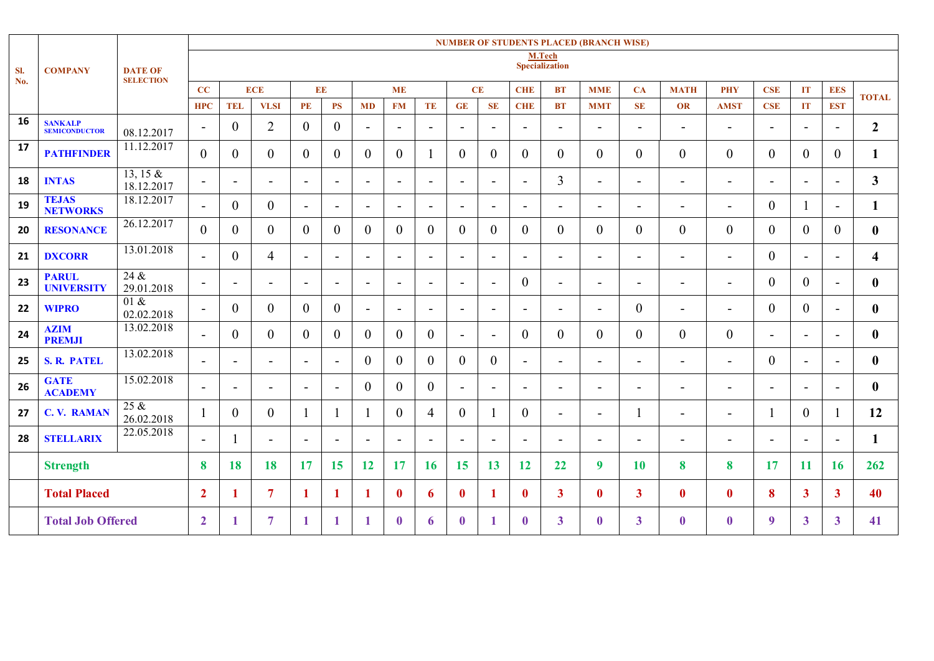|            |                                        | <b>DATE OF</b><br><b>SELECTION</b> | <b>NUMBER OF STUDENTS PLACED (BRANCH WISE)</b> |                          |                          |                          |                          |                          |                          |                          |                          |                          |                          |                                 |                              |                          |                          |                          |                          |                          |                          |                         |
|------------|----------------------------------------|------------------------------------|------------------------------------------------|--------------------------|--------------------------|--------------------------|--------------------------|--------------------------|--------------------------|--------------------------|--------------------------|--------------------------|--------------------------|---------------------------------|------------------------------|--------------------------|--------------------------|--------------------------|--------------------------|--------------------------|--------------------------|-------------------------|
| SI.<br>No. | <b>COMPANY</b>                         |                                    |                                                |                          |                          |                          |                          |                          |                          |                          |                          |                          |                          | M.Tech<br><b>Specialization</b> |                              |                          |                          |                          |                          |                          |                          |                         |
|            |                                        |                                    |                                                |                          |                          |                          |                          |                          |                          |                          |                          |                          |                          |                                 |                              |                          |                          |                          |                          |                          |                          |                         |
|            |                                        |                                    | CC                                             |                          | <b>ECE</b>               | EE                       |                          |                          | <b>ME</b>                |                          | CE                       |                          | <b>CHE</b>               | <b>BT</b>                       | <b>MME</b>                   | CA                       | <b>MATH</b>              | <b>PHY</b>               | <b>CSE</b>               | IT                       | <b>EES</b>               | <b>TOTAL</b>            |
|            |                                        |                                    | <b>HPC</b>                                     | <b>TEL</b>               | <b>VLSI</b>              | PE                       | PS                       | <b>MD</b>                | <b>FM</b>                | TE                       | <b>GE</b>                | <b>SE</b>                | <b>CHE</b>               | <b>BT</b>                       | <b>MMT</b>                   | SE                       | OR                       | <b>AMST</b>              | <b>CSE</b>               | IT                       | <b>EST</b>               |                         |
| 16         | <b>SANKALP</b><br><b>SEMICONDUCTOR</b> | 08.12.2017                         | $\blacksquare$                                 | $\overline{0}$           | $\overline{2}$           | $\theta$                 | $\overline{0}$           | $\overline{\phantom{a}}$ | $\overline{\phantom{a}}$ | $\blacksquare$           | $\overline{\phantom{a}}$ | $\overline{\phantom{0}}$ | $\blacksquare$           | $\overline{a}$                  | $\blacksquare$               | $\blacksquare$           | $\blacksquare$           | $\overline{\phantom{a}}$ | $\blacksquare$           | $\overline{\phantom{a}}$ | ٠                        | $\overline{2}$          |
| 17         | <b>PATHFINDER</b>                      | 11.12.2017                         | $\overline{0}$                                 | $\theta$                 | $\theta$                 | $\Omega$                 | $\theta$                 | $\overline{0}$           | $\theta$                 |                          | $\theta$                 | $\theta$                 | $\overline{0}$           | $\mathbf{0}$                    | $\theta$                     | $\theta$                 | $\boldsymbol{0}$         | $\overline{0}$           | $\overline{0}$           | $\theta$                 | $\theta$                 | $\mathbf{1}$            |
| 18         | <b>INTAS</b>                           | 13, 15 $&$<br>18.12.2017           | $\blacksquare$                                 | $\overline{\phantom{a}}$ |                          | $\overline{\phantom{a}}$ | $\overline{\phantom{a}}$ | $\blacksquare$           | $\overline{\phantom{a}}$ | $\overline{\phantom{a}}$ | $\overline{\phantom{0}}$ | $\overline{\phantom{a}}$ | $\blacksquare$           | $\overline{3}$                  | $\blacksquare$               | $\overline{\phantom{a}}$ | $\blacksquare$           | $\overline{\phantom{a}}$ | $\overline{\phantom{a}}$ | $\overline{\phantom{a}}$ | ۰                        | $\mathbf{3}$            |
| 19         | <b>TEJAS</b><br><b>NETWORKS</b>        | 18.12.2017                         | $\blacksquare$                                 | $\theta$                 | $\theta$                 | $\overline{\phantom{0}}$ | $\blacksquare$           | $\blacksquare$           | $\overline{\phantom{a}}$ | $\blacksquare$           | $\overline{\phantom{a}}$ | $\blacksquare$           | $\overline{\phantom{a}}$ | $\overline{a}$                  | $\blacksquare$               | $\blacksquare$           | $\overline{\phantom{0}}$ | $\blacksquare$           | $\overline{0}$           |                          | $\blacksquare$           | $\mathbf{1}$            |
| 20         | <b>RESONANCE</b>                       | 26.12.2017                         | $\theta$                                       | 0                        | $\Omega$                 | $\Omega$                 | $\theta$                 | $\Omega$                 | $\Omega$                 | $\theta$                 | $\theta$                 | $\theta$                 | $\overline{0}$           | $\overline{0}$                  | $\theta$                     | $\Omega$                 | $\theta$                 | $\boldsymbol{0}$         | $\theta$                 | $\theta$                 | $\theta$                 | $\mathbf{0}$            |
| 21         | <b>DXCORR</b>                          | 13.01.2018                         | $\overline{\phantom{a}}$                       | $\theta$                 | $\overline{4}$           | $\blacksquare$           | $\blacksquare$           | $\sim$                   | $\overline{\phantom{a}}$ | $\overline{\phantom{a}}$ | $\blacksquare$           | $\overline{\phantom{a}}$ | $\blacksquare$           | $\overline{\phantom{a}}$        | $\qquad \qquad \blacksquare$ |                          | -                        | $\overline{\phantom{a}}$ | $\overline{0}$           | Ξ.                       | $\overline{\phantom{a}}$ | $\overline{\mathbf{4}}$ |
| 23         | <b>PARUL</b><br><b>UNIVERSITY</b>      | 24 &<br>29.01.2018                 | $\overline{\phantom{a}}$                       | $\overline{\phantom{0}}$ |                          | ÷.                       | $\overline{\phantom{a}}$ | $\overline{\phantom{0}}$ | $\overline{\phantom{a}}$ | ٠                        |                          | $\overline{\phantom{0}}$ | $\overline{0}$           | $\blacksquare$                  | $\blacksquare$               |                          | $\blacksquare$           | $\overline{\phantom{a}}$ | $\overline{0}$           | $\Omega$                 | ٠                        | $\mathbf{0}$            |
| 22         | <b>WIPRO</b>                           | 01 &<br>02.02.2018                 | $\overline{\phantom{a}}$                       | $\theta$                 | $\theta$                 | $\theta$                 | $\theta$                 | $\blacksquare$           | $\overline{\phantom{a}}$ | $\blacksquare$           | $\blacksquare$           | $\overline{\phantom{0}}$ | $\blacksquare$           | $\overline{\phantom{a}}$        | $\blacksquare$               | $\theta$                 | $\blacksquare$           | $\overline{\phantom{a}}$ | $\overline{0}$           | $\theta$                 | ÷.                       | $\mathbf{0}$            |
| 24         | <b>AZIM</b><br><b>PREMJI</b>           | 13.02.2018                         | $\blacksquare$                                 | $\overline{0}$           | $\overline{0}$           | $\theta$                 | $\overline{0}$           | $\theta$                 | $\theta$                 | $\overline{0}$           | $\blacksquare$           | $\blacksquare$           | $\overline{0}$           | $\overline{0}$                  | $\theta$                     | $\theta$                 | $\boldsymbol{0}$         | $\boldsymbol{0}$         | $\blacksquare$           | $\overline{\phantom{a}}$ | ٠                        | $\mathbf{0}$            |
| 25         | <b>S. R. PATEL</b>                     | 13.02.2018                         | $\blacksquare$                                 | $\overline{\phantom{a}}$ | Ξ.                       | $\blacksquare$           | $\overline{\phantom{a}}$ | $\theta$                 | $\theta$                 | $\theta$                 | $\theta$                 | $\theta$                 | $\blacksquare$           | $\overline{\phantom{a}}$        | $\overline{\phantom{a}}$     | $\blacksquare$           | $\blacksquare$           | $\overline{\phantom{a}}$ | $\overline{0}$           | $\blacksquare$           | $\overline{\phantom{a}}$ | $\bf{0}$                |
| 26         | <b>GATE</b><br><b>ACADEMY</b>          | 15.02.2018                         | $\blacksquare$                                 | $\overline{\phantom{0}}$ | $\overline{\phantom{0}}$ | $\sim$                   | $\blacksquare$           | $\theta$                 | $\Omega$                 | $\theta$                 | $\overline{\phantom{a}}$ | $\overline{\phantom{a}}$ | $\sim$                   | $\overline{a}$                  | $\blacksquare$               | $\blacksquare$           | $\blacksquare$           | $\blacksquare$           | $\blacksquare$           | $\sim$                   | $\blacksquare$           | $\mathbf{0}$            |
| 27         | <b>C. V. RAMAN</b>                     | $25 \&$<br>26.02.2018              |                                                | $\theta$                 | $\theta$                 |                          | -1                       |                          | $\Omega$                 | $\overline{4}$           | $\overline{0}$           |                          | $\overline{0}$           | $\overline{\phantom{0}}$        | $\blacksquare$               |                          | $\overline{a}$           | $\blacksquare$           |                          | $\theta$                 |                          | 12                      |
| 28         | <b>STELLARIX</b>                       | 22.05.2018                         | $\blacksquare$                                 |                          | $\blacksquare$           | $\overline{\phantom{a}}$ | $\overline{\phantom{a}}$ | $\overline{\phantom{a}}$ | $\overline{\phantom{a}}$ | $\sim$                   | $\overline{\phantom{a}}$ | $\overline{\phantom{a}}$ | $\overline{\phantom{a}}$ | $\blacksquare$                  | $\blacksquare$               | $\overline{\phantom{a}}$ | $\overline{a}$           | $\overline{\phantom{a}}$ | $\blacksquare$           | $\sim$                   | $\blacksquare$           | $\mathbf{1}$            |
|            | <b>Strength</b>                        |                                    | 8                                              | 18                       | 18                       | 17                       | 15                       | 12                       | 17                       | 16                       | 15                       | 13                       | <b>12</b>                | 22                              | 9                            | 10                       | 8                        | 8                        | 17                       | 11                       | 16                       | 262                     |
|            | <b>Total Placed</b>                    |                                    | $\overline{2}$                                 |                          | 7                        | -1                       | 1                        | л.                       | $\mathbf{0}$             | 6                        | $\mathbf{0}$             |                          | $\mathbf{0}$             | $\mathbf{3}$                    | $\mathbf{0}$                 | $3^{\circ}$              | $\mathbf{0}$             | $\bf{0}$                 | 8                        | $\mathbf{3}$             | $\mathbf{3}$             | 40                      |
|            | <b>Total Job Offered</b>               |                                    | $\overline{2}$                                 | 1                        | 7                        | -1                       | 1                        | 1                        | $\mathbf{0}$             | 6                        | $\mathbf{0}$             |                          | $\mathbf{0}$             | $\mathbf{3}$                    | $\mathbf{0}$                 | 3                        | $\mathbf{0}$             | $\mathbf{0}$             | 9                        | $\mathbf{3}$             | 3                        | 41                      |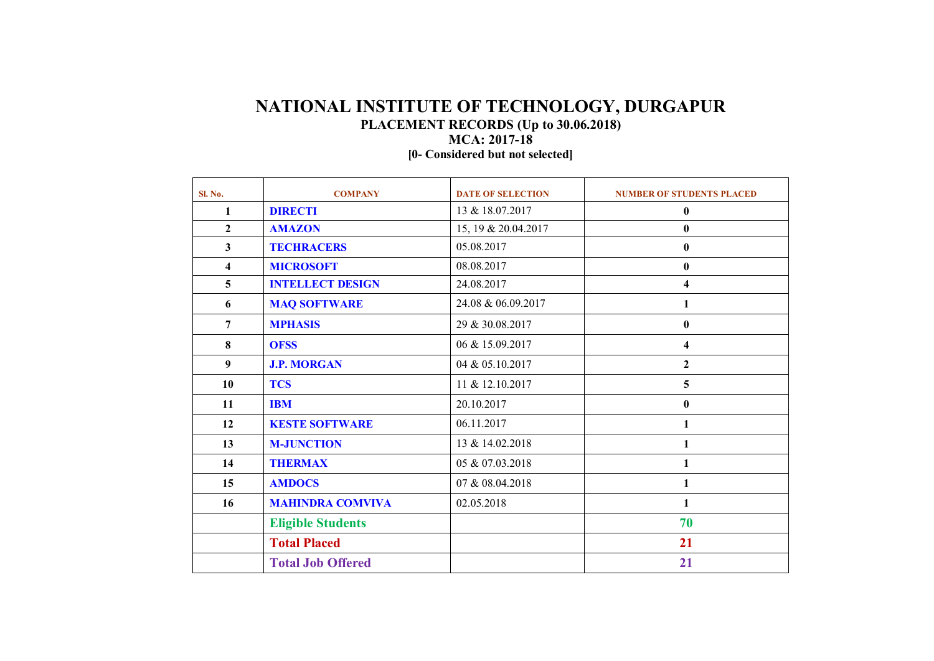## **NATIONAL INSTITUTE OF TECHNOLOGY, DURGAPUR PLACEMENT RECORDS (Up to 30.06.2018) MCA: 2017-18**

**[0- Considered but not selected]**

| Sl. No.                 | <b>COMPANY</b>           | <b>DATE OF SELECTION</b> | <b>NUMBER OF STUDENTS PLACED</b> |
|-------------------------|--------------------------|--------------------------|----------------------------------|
| 1                       | <b>DIRECTI</b>           | 13 & 18.07.2017          | $\bf{0}$                         |
| $\overline{2}$          | <b>AMAZON</b>            | 15, 19 & 20.04.2017      | $\bf{0}$                         |
| $\mathbf{3}$            | <b>TECHRACERS</b>        | 05.08.2017               | $\bf{0}$                         |
| $\overline{\mathbf{4}}$ | <b>MICROSOFT</b>         | 08.08.2017               | $\bf{0}$                         |
| $5\overline{)}$         | <b>INTELLECT DESIGN</b>  | 24.08.2017               | $\overline{\mathbf{4}}$          |
| 6                       | <b>MAQ SOFTWARE</b>      | 24.08 & 06.09.2017       | 1                                |
| $\overline{7}$          | <b>MPHASIS</b>           | 29 & 30.08.2017          | $\bf{0}$                         |
| 8                       | <b>OFSS</b>              | 06 & 15.09.2017          | $\overline{\mathbf{4}}$          |
| 9                       | <b>J.P. MORGAN</b>       | 04 & 05.10.2017          | $\mathbf{2}$                     |
| 10                      | <b>TCS</b>               | 11 & 12.10.2017          | 5                                |
| 11                      | <b>IBM</b>               | 20.10.2017               | $\bf{0}$                         |
| 12                      | <b>KESTE SOFTWARE</b>    | 06.11.2017               | 1                                |
| 13                      | <b>M-JUNCTION</b>        | 13 & 14.02.2018          | 1                                |
| 14                      | <b>THERMAX</b>           | 05 & 07.03.2018          |                                  |
| 15                      | <b>AMDOCS</b>            | 07 & 08.04.2018          | 1                                |
| 16                      | <b>MAHINDRA COMVIVA</b>  | 02.05.2018               | $\mathbf{1}$                     |
|                         | <b>Eligible Students</b> |                          | 70                               |
|                         | <b>Total Placed</b>      |                          | 21                               |
|                         | <b>Total Job Offered</b> |                          | 21                               |